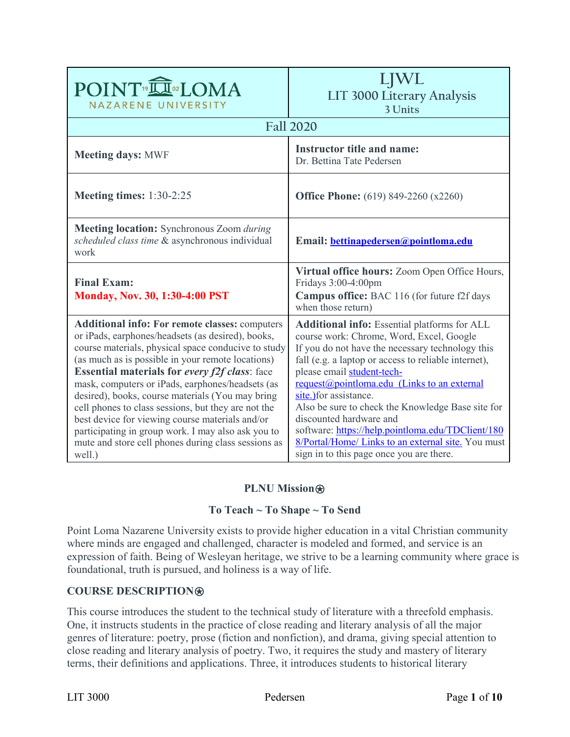| POINT <sup>®</sup> IN®LOMA<br>NAZARENE UNIVERSITY                                                                                                                                                                                                                                                                                                                                                                                                                                                                                                                                                                       | LJWL<br>LIT 3000 Literary Analysis<br>3 Units                                                                                                                                                                                                                                                                                                                                                                                                                                                                                                             |
|-------------------------------------------------------------------------------------------------------------------------------------------------------------------------------------------------------------------------------------------------------------------------------------------------------------------------------------------------------------------------------------------------------------------------------------------------------------------------------------------------------------------------------------------------------------------------------------------------------------------------|-----------------------------------------------------------------------------------------------------------------------------------------------------------------------------------------------------------------------------------------------------------------------------------------------------------------------------------------------------------------------------------------------------------------------------------------------------------------------------------------------------------------------------------------------------------|
|                                                                                                                                                                                                                                                                                                                                                                                                                                                                                                                                                                                                                         | <b>Fall 2020</b>                                                                                                                                                                                                                                                                                                                                                                                                                                                                                                                                          |
| <b>Meeting days: MWF</b>                                                                                                                                                                                                                                                                                                                                                                                                                                                                                                                                                                                                | <b>Instructor title and name:</b><br>Dr. Bettina Tate Pedersen                                                                                                                                                                                                                                                                                                                                                                                                                                                                                            |
| <b>Meeting times:</b> 1:30-2:25                                                                                                                                                                                                                                                                                                                                                                                                                                                                                                                                                                                         | <b>Office Phone:</b> (619) 849-2260 (x2260)                                                                                                                                                                                                                                                                                                                                                                                                                                                                                                               |
| Meeting location: Synchronous Zoom during<br>scheduled class time & asynchronous individual<br>work                                                                                                                                                                                                                                                                                                                                                                                                                                                                                                                     | Email: <b>bettinapedersen@pointloma.edu</b>                                                                                                                                                                                                                                                                                                                                                                                                                                                                                                               |
| <b>Final Exam:</b><br><b>Monday, Nov. 30, 1:30-4:00 PST</b>                                                                                                                                                                                                                                                                                                                                                                                                                                                                                                                                                             | Virtual office hours: Zoom Open Office Hours,<br>Fridays 3:00-4:00pm<br>Campus office: BAC 116 (for future f2f days<br>when those return)                                                                                                                                                                                                                                                                                                                                                                                                                 |
| <b>Additional info: For remote classes: computers</b><br>or iPads, earphones/headsets (as desired), books,<br>course materials, physical space conducive to study<br>(as much as is possible in your remote locations)<br><b>Essential materials for every f2f class:</b> face<br>mask, computers or iPads, earphones/headsets (as<br>desired), books, course materials (You may bring<br>cell phones to class sessions, but they are not the<br>best device for viewing course materials and/or<br>participating in group work. I may also ask you to<br>mute and store cell phones during class sessions as<br>well.) | <b>Additional info:</b> Essential platforms for ALL<br>course work: Chrome, Word, Excel, Google<br>If you do not have the necessary technology this<br>fall (e.g. a laptop or access to reliable internet),<br>please email student-tech-<br>request@pointloma.edu (Links to an external<br>site.) for assistance.<br>Also be sure to check the Knowledge Base site for<br>discounted hardware and<br>software: https://help.pointloma.edu/TDClient/180<br>8/Portal/Home/ Links to an external site. You must<br>sign in to this page once you are there. |

# **PLNU Mission**⍟

# **To Teach ~ To Shape ~ To Send**

Point Loma Nazarene University exists to provide higher education in a vital Christian community where minds are engaged and challenged, character is modeled and formed, and service is an expression of faith. Being of Wesleyan heritage, we strive to be a learning community where grace is foundational, truth is pursued, and holiness is a way of life.

#### **COURSE DESCRIPTION**⍟

This course introduces the student to the technical study of literature with a threefold emphasis. One, it instructs students in the practice of close reading and literary analysis of all the major genres of literature: poetry, prose (fiction and nonfiction), and drama, giving special attention to close reading and literary analysis of poetry. Two, it requires the study and mastery of literary terms, their definitions and applications. Three, it introduces students to historical literary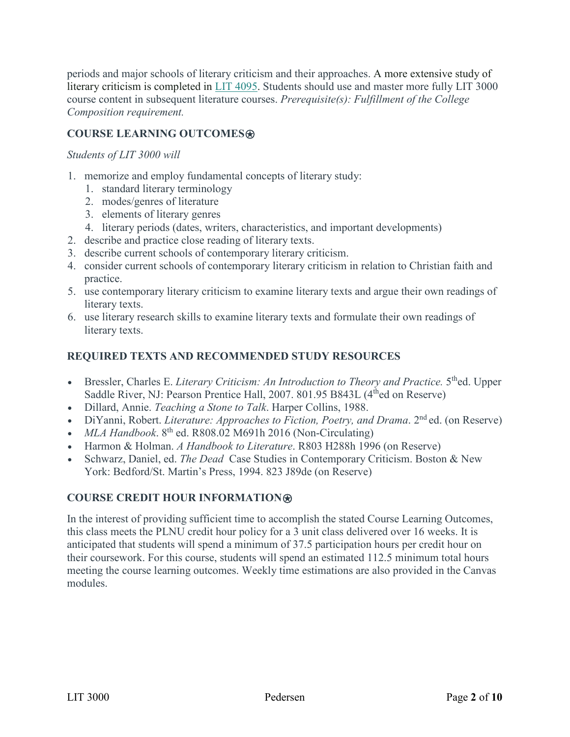periods and major schools of literary criticism and their approaches. A more extensive study of literary criticism is completed in LIT [4095.](https://catalog.pointloma.edu/preview_program.php?catoid=46&poid=3699&returnto=2633#tt1080) Students should use and master more fully LIT 3000 course content in subsequent literature courses. *Prerequisite(s): Fulfillment of the College Composition requirement.*

# **COURSE LEARNING OUTCOMES**⍟

### *Students of LIT 3000 will*

- 1. memorize and employ fundamental concepts of literary study:
	- 1. standard literary terminology
	- 2. modes/genres of literature
	- 3. elements of literary genres
	- 4. literary periods (dates, writers, characteristics, and important developments)
- 2. describe and practice close reading of literary texts.
- 3. describe current schools of contemporary literary criticism.
- 4. consider current schools of contemporary literary criticism in relation to Christian faith and practice.
- 5. use contemporary literary criticism to examine literary texts and argue their own readings of literary texts.
- 6. use literary research skills to examine literary texts and formulate their own readings of literary texts.

# **REQUIRED TEXTS AND RECOMMENDED STUDY RESOURCES**

- Bressler, Charles E. *Literary Criticism: An Introduction to Theory and Practice*. 5<sup>th</sup>ed. Upper Saddle River, NJ: Pearson Prentice Hall, 2007. 801.95 B843L (4<sup>th</sup>ed on Reserve)
- Dillard, Annie. *Teaching a Stone to Talk*. Harper Collins, 1988.
- DiYanni, Robert. *Literature: Approaches to Fiction, Poetry, and Drama.* 2<sup>nd</sup> ed. (on Reserve)
- $MLA$  *Handbook*.  $8^{th}$  ed. R808.02 M691h 2016 (Non-Circulating)
- Harmon & Holman. *A Handbook to Literature*. R803 H288h 1996 (on Reserve)
- Schwarz, Daniel, ed. *The Dead* Case Studies in Contemporary Criticism. Boston & New York: Bedford/St. Martin's Press, 1994. 823 J89de (on Reserve)

# **COURSE CREDIT HOUR INFORMATION**⍟

In the interest of providing sufficient time to accomplish the stated Course Learning Outcomes, this class meets the PLNU credit hour policy for a 3 unit class delivered over 16 weeks. It is anticipated that students will spend a minimum of 37.5 participation hours per credit hour on their coursework. For this course, students will spend an estimated 112.5 minimum total hours meeting the course learning outcomes. Weekly time estimations are also provided in the Canvas modules.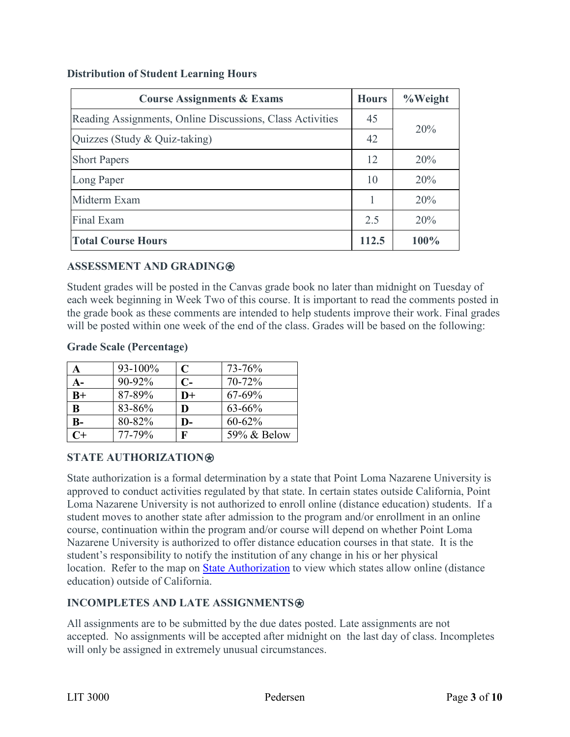### **Distribution of Student Learning Hours**

| <b>Course Assignments &amp; Exams</b>                     | <b>Hours</b>    | %Weight |
|-----------------------------------------------------------|-----------------|---------|
| Reading Assignments, Online Discussions, Class Activities | 45<br>20%<br>42 |         |
| Quizzes (Study & Quiz-taking)                             |                 |         |
| <b>Short Papers</b>                                       | 12              | 20%     |
| Long Paper                                                | 10              | 20%     |
| Midterm Exam                                              | 1               | 20%     |
| Final Exam                                                | 2.5             | 20%     |
| <b>Total Course Hours</b>                                 | 112.5           | $100\%$ |

# **ASSESSMENT AND GRADING**⍟

Student grades will be posted in the Canvas grade book no later than midnight on Tuesday of each week beginning in Week Two of this course. It is important to read the comments posted in the grade book as these comments are intended to help students improve their work. Final grades will be posted within one week of the end of the class. Grades will be based on the following:

### **Grade Scale (Percentage)**

| A        | $93 - 100\%$ | C    | 73-76%      |
|----------|--------------|------|-------------|
| A-       | 90-92%       | $C-$ | 70-72%      |
| $B+$     | 87-89%       | $D+$ | $67 - 69%$  |
| $\bf{B}$ | 83-86%       | D    | $63 - 66%$  |
| $B-$     | 80-82%       | D-   | $60 - 62\%$ |
| $C+$     | 77-79%       | F    | 59% & Below |

# **STATE AUTHORIZATION**⍟

State authorization is a formal determination by a state that Point Loma Nazarene University is approved to conduct activities regulated by that state. In certain states outside California, Point Loma Nazarene University is not authorized to enroll online (distance education) students. If a student moves to another state after admission to the program and/or enrollment in an online course, continuation within the program and/or course will depend on whether Point Loma Nazarene University is authorized to offer distance education courses in that state. It is the student's responsibility to notify the institution of any change in his or her physical location. Refer to the map on [State Authorization](https://www.pointloma.edu/offices/office-institutional-effectiveness-research/disclosures) to view which states allow online (distance education) outside of California.

# **INCOMPLETES AND LATE ASSIGNMENTS**

All assignments are to be submitted by the due dates posted. Late assignments are not accepted. No assignments will be accepted after midnight on the last day of class. Incompletes will only be assigned in extremely unusual circumstances.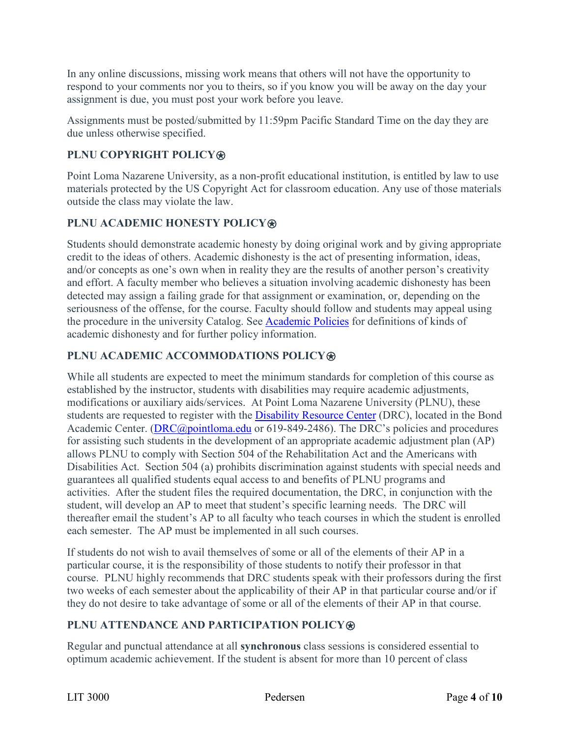In any online discussions, missing work means that others will not have the opportunity to respond to your comments nor you to theirs, so if you know you will be away on the day your assignment is due, you must post your work before you leave.

Assignments must be posted/submitted by 11:59pm Pacific Standard Time on the day they are due unless otherwise specified.

# **PLNU COPYRIGHT POLICY**⍟

Point Loma Nazarene University, as a non-profit educational institution, is entitled by law to use materials protected by the US Copyright Act for classroom education. Any use of those materials outside the class may violate the law.

# **PLNU ACADEMIC HONESTY POLICY®**

Students should demonstrate academic honesty by doing original work and by giving appropriate credit to the ideas of others. Academic dishonesty is the act of presenting information, ideas, and/or concepts as one's own when in reality they are the results of another person's creativity and effort. A faculty member who believes a situation involving academic dishonesty has been detected may assign a failing grade for that assignment or examination, or, depending on the seriousness of the offense, for the course. Faculty should follow and students may appeal using the procedure in the university Catalog. See [Academic Policies](https://catalog.pointloma.edu/content.php?catoid=46&navoid=2650) for definitions of kinds of academic dishonesty and for further policy information.

# **PLNU ACADEMIC ACCOMMODATIONS POLICY**⍟

While all students are expected to meet the minimum standards for completion of this course as established by the instructor, students with disabilities may require academic adjustments, modifications or auxiliary aids/services. At Point Loma Nazarene University (PLNU), these students are requested to register with the [Disability Resource Center](https://www.pointloma.edu/offices/disability-resource-center) (DRC), located in the Bond Academic Center. (DRC@pointloma.edu or 619-849-2486). The DRC's policies and procedures for assisting such students in the development of an appropriate academic adjustment plan (AP) allows PLNU to comply with Section 504 of the Rehabilitation Act and the Americans with Disabilities Act. Section 504 (a) prohibits discrimination against students with special needs and guarantees all qualified students equal access to and benefits of PLNU programs and activities. After the student files the required documentation, the DRC, in conjunction with the student, will develop an AP to meet that student's specific learning needs. The DRC will thereafter email the student's AP to all faculty who teach courses in which the student is enrolled each semester. The AP must be implemented in all such courses.

If students do not wish to avail themselves of some or all of the elements of their AP in a particular course, it is the responsibility of those students to notify their professor in that course. PLNU highly recommends that DRC students speak with their professors during the first two weeks of each semester about the applicability of their AP in that particular course and/or if they do not desire to take advantage of some or all of the elements of their AP in that course.

# **PLNU ATTENDANCE AND PARTICIPATION POLICY**⍟

Regular and punctual attendance at all **synchronous** class sessions is considered essential to optimum academic achievement. If the student is absent for more than 10 percent of class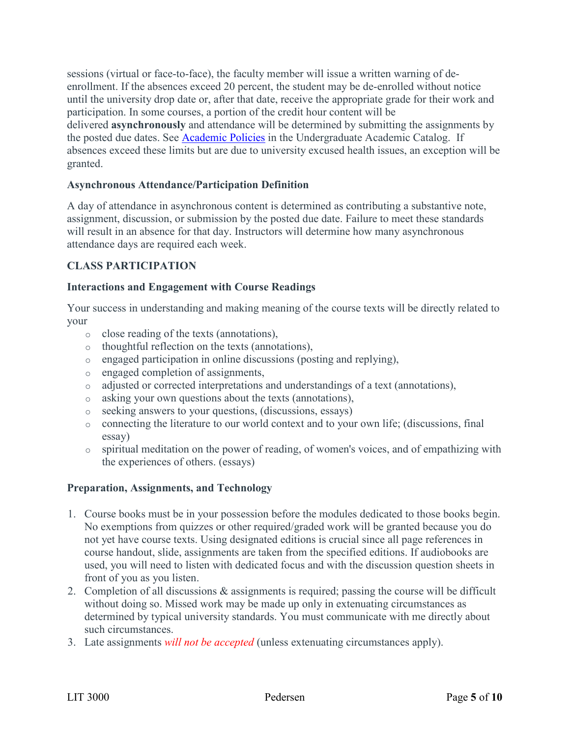sessions (virtual or face-to-face), the faculty member will issue a written warning of deenrollment. If the absences exceed 20 percent, the student may be de-enrolled without notice until the university drop date or, after that date, receive the appropriate grade for their work and participation. In some courses, a portion of the credit hour content will be delivered **asynchronously** and attendance will be determined by submitting the assignments by the posted due dates. See **[Academic Policies](https://catalog.pointloma.edu/content.php?catoid=46&navoid=2650)** in the Undergraduate Academic Catalog. If absences exceed these limits but are due to university excused health issues, an exception will be granted.

### **Asynchronous Attendance/Participation Definition**

A day of attendance in asynchronous content is determined as contributing a substantive note, assignment, discussion, or submission by the posted due date. Failure to meet these standards will result in an absence for that day. Instructors will determine how many asynchronous attendance days are required each week.

### **CLASS PARTICIPATION**

### **Interactions and Engagement with Course Readings**

Your success in understanding and making meaning of the course texts will be directly related to your

- o close reading of the texts (annotations),
- o thoughtful reflection on the texts (annotations),
- o engaged participation in online discussions (posting and replying),
- o engaged completion of assignments,
- o adjusted or corrected interpretations and understandings of a text (annotations),
- o asking your own questions about the texts (annotations),
- o seeking answers to your questions, (discussions, essays)
- o connecting the literature to our world context and to your own life; (discussions, final essay)
- o spiritual meditation on the power of reading, of women's voices, and of empathizing with the experiences of others. (essays)

# **Preparation, Assignments, and Technology**

- 1. Course books must be in your possession before the modules dedicated to those books begin. No exemptions from quizzes or other required/graded work will be granted because you do not yet have course texts. Using designated editions is crucial since all page references in course handout, slide, assignments are taken from the specified editions. If audiobooks are used, you will need to listen with dedicated focus and with the discussion question sheets in front of you as you listen.
- 2. Completion of all discussions & assignments is required; passing the course will be difficult without doing so. Missed work may be made up only in extenuating circumstances as determined by typical university standards. You must communicate with me directly about such circumstances.
- 3. Late assignments *will not be accepted* (unless extenuating circumstances apply).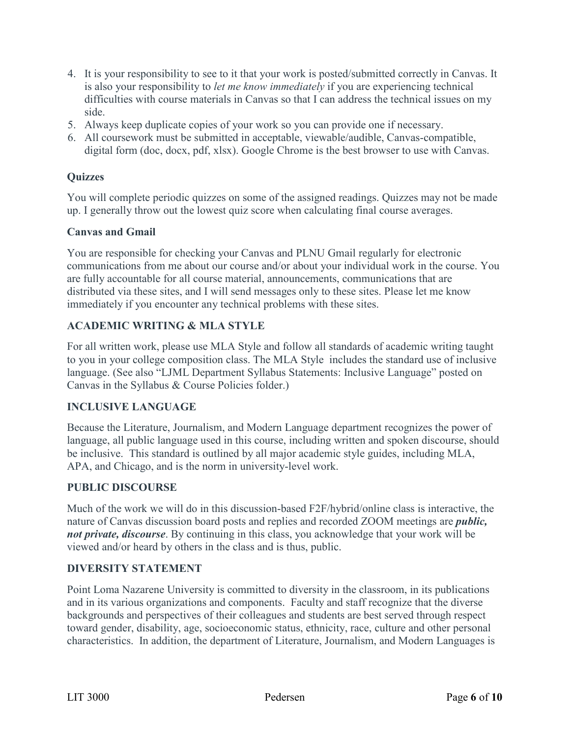- 4. It is your responsibility to see to it that your work is posted/submitted correctly in Canvas. It is also your responsibility to *let me know immediately* if you are experiencing technical difficulties with course materials in Canvas so that I can address the technical issues on my side.
- 5. Always keep duplicate copies of your work so you can provide one if necessary.
- 6. All coursework must be submitted in acceptable, viewable/audible, Canvas-compatible, digital form (doc, docx, pdf, xlsx). Google Chrome is the best browser to use with Canvas.

### **Quizzes**

You will complete periodic quizzes on some of the assigned readings. Quizzes may not be made up. I generally throw out the lowest quiz score when calculating final course averages.

#### **Canvas and Gmail**

You are responsible for checking your Canvas and PLNU Gmail regularly for electronic communications from me about our course and/or about your individual work in the course. You are fully accountable for all course material, announcements, communications that are distributed via these sites, and I will send messages only to these sites. Please let me know immediately if you encounter any technical problems with these sites.

### **ACADEMIC WRITING & MLA STYLE**

For all written work, please use MLA Style and follow all standards of academic writing taught to you in your college composition class. The MLA Style includes the standard use of inclusive language. (See also "LJML Department Syllabus Statements: Inclusive Language" posted on Canvas in the Syllabus & Course Policies folder.)

#### **INCLUSIVE LANGUAGE**

Because the Literature, Journalism, and Modern Language department recognizes the power of language, all public language used in this course, including written and spoken discourse, should be inclusive. This standard is outlined by all major academic style guides, including MLA, APA, and Chicago, and is the norm in university-level work.

#### **PUBLIC DISCOURSE**

Much of the work we will do in this discussion-based F2F/hybrid/online class is interactive, the nature of Canvas discussion board posts and replies and recorded ZOOM meetings are *public, not private, discourse*. By continuing in this class, you acknowledge that your work will be viewed and/or heard by others in the class and is thus, public.

#### **DIVERSITY STATEMENT**

Point Loma Nazarene University is committed to diversity in the classroom, in its publications and in its various organizations and components. Faculty and staff recognize that the diverse backgrounds and perspectives of their colleagues and students are best served through respect toward gender, disability, age, socioeconomic status, ethnicity, race, culture and other personal characteristics. In addition, the department of Literature, Journalism, and Modern Languages is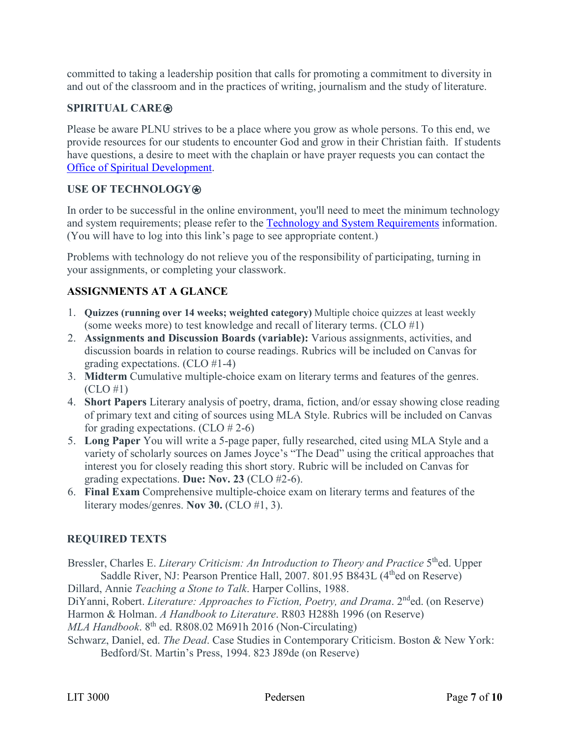committed to taking a leadership position that calls for promoting a commitment to diversity in and out of the classroom and in the practices of writing, journalism and the study of literature.

# **SPIRITUAL CARE**⍟

Please be aware PLNU strives to be a place where you grow as whole persons. To this end, we provide resources for our students to encounter God and grow in their Christian faith. If students have questions, a desire to meet with the chaplain or have prayer requests you can contact the [Office of Spiritual Development.](https://www.pointloma.edu/offices/spiritual-development)

# **USE OF TECHNOLOGY**⍟

In order to be successful in the online environment, you'll need to meet the minimum technology and system requirements; please refer to the [Technology and System Requirements](https://help.pointloma.edu/TDClient/1808/Portal/KB/ArticleDet?ID=108349) information. (You will have to log into this link's page to see appropriate content.)

Problems with technology do not relieve you of the responsibility of participating, turning in your assignments, or completing your classwork.

# **ASSIGNMENTS AT A GLANCE**

- 1. **Quizzes (running over 14 weeks; weighted category)** Multiple choice quizzes at least weekly (some weeks more) to test knowledge and recall of literary terms. (CLO #1)
- 2. **Assignments and Discussion Boards (variable):** Various assignments, activities, and discussion boards in relation to course readings. Rubrics will be included on Canvas for grading expectations. (CLO #1-4)
- 3. **Midterm** Cumulative multiple-choice exam on literary terms and features of the genres. (CLO #1)
- 4. **Short Papers** Literary analysis of poetry, drama, fiction, and/or essay showing close reading of primary text and citing of sources using MLA Style. Rubrics will be included on Canvas for grading expectations. (CLO # 2-6)
- 5. **Long Paper** You will write a 5-page paper, fully researched, cited using MLA Style and a variety of scholarly sources on James Joyce's "The Dead" using the critical approaches that interest you for closely reading this short story. Rubric will be included on Canvas for grading expectations. **Due: Nov. 23** (CLO #2-6).
- 6. **Final Exam** Comprehensive multiple-choice exam on literary terms and features of the literary modes/genres. **Nov 30.** (CLO #1, 3).

# **REQUIRED TEXTS**

Bressler, Charles E. *Literary Criticism: An Introduction to Theory and Practice* 5<sup>th</sup>ed. Upper Saddle River, NJ: Pearson Prentice Hall, 2007. 801.95 B843L (4<sup>th</sup>ed on Reserve)

Dillard, Annie *Teaching a Stone to Talk*. Harper Collins, 1988.

DiYanni, Robert. *Literature: Approaches to Fiction, Poetry, and Drama*. 2<sup>nd</sup>ed. (on Reserve) Harmon & Holman. *A Handbook to Literature*. R803 H288h 1996 (on Reserve)

*MLA Handbook*. 8<sup>th</sup> ed. R808.02 M691h 2016 (Non-Circulating)

Schwarz, Daniel, ed. *The Dead*. Case Studies in Contemporary Criticism. Boston & New York: Bedford/St. Martin's Press, 1994. 823 J89de (on Reserve)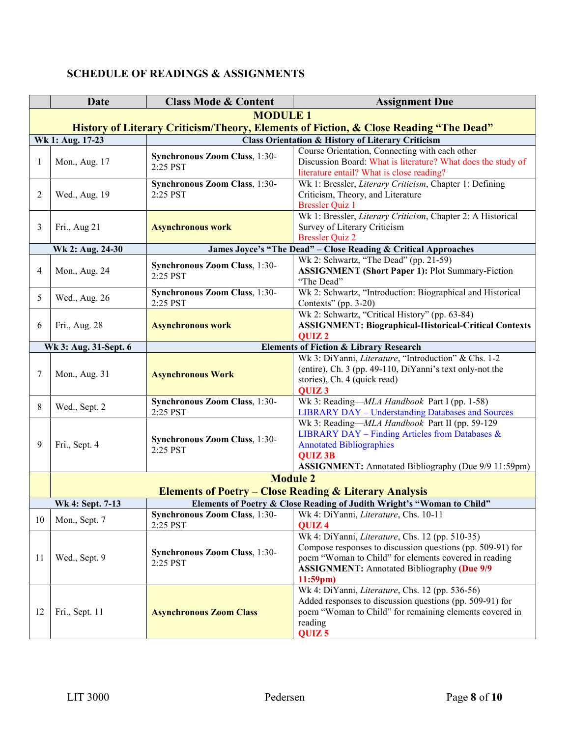|    | Date                                                                                  | <b>Class Mode &amp; Content</b>           | <b>Assignment Due</b>                                                                                       |  |  |
|----|---------------------------------------------------------------------------------------|-------------------------------------------|-------------------------------------------------------------------------------------------------------------|--|--|
|    | <b>MODULE 1</b>                                                                       |                                           |                                                                                                             |  |  |
|    | History of Literary Criticism/Theory, Elements of Fiction, & Close Reading "The Dead" |                                           |                                                                                                             |  |  |
|    | Wk 1: Aug. 17-23                                                                      |                                           | <b>Class Orientation &amp; History of Literary Criticism</b>                                                |  |  |
| 1  |                                                                                       | Synchronous Zoom Class, 1:30-<br>2:25 PST | Course Orientation, Connecting with each other                                                              |  |  |
|    | Mon., Aug. 17                                                                         |                                           | Discussion Board: What is literature? What does the study of                                                |  |  |
|    |                                                                                       |                                           | literature entail? What is close reading?                                                                   |  |  |
|    |                                                                                       | Synchronous Zoom Class, 1:30-<br>2:25 PST | Wk 1: Bressler, Literary Criticism, Chapter 1: Defining                                                     |  |  |
| 2  | Wed., Aug. 19                                                                         |                                           | Criticism, Theory, and Literature                                                                           |  |  |
|    |                                                                                       |                                           | <b>Bressler Quiz 1</b><br>Wk 1: Bressler, Literary Criticism, Chapter 2: A Historical                       |  |  |
|    |                                                                                       |                                           |                                                                                                             |  |  |
| 3  | Fri., Aug 21                                                                          | <b>Asynchronous work</b>                  | Survey of Literary Criticism<br><b>Bressler Quiz 2</b>                                                      |  |  |
|    | Wk 2: Aug. 24-30                                                                      |                                           | James Joyce's "The Dead" - Close Reading & Critical Approaches                                              |  |  |
|    |                                                                                       |                                           | Wk 2: Schwartz, "The Dead" (pp. 21-59)                                                                      |  |  |
| 4  | Mon., Aug. 24                                                                         | Synchronous Zoom Class, 1:30-             | <b>ASSIGNMENT</b> (Short Paper 1): Plot Summary-Fiction                                                     |  |  |
|    |                                                                                       | 2:25 PST                                  | "The Dead"                                                                                                  |  |  |
|    |                                                                                       | Synchronous Zoom Class, 1:30-             | Wk 2: Schwartz, "Introduction: Biographical and Historical                                                  |  |  |
| 5  | Wed., Aug. 26                                                                         | 2:25 PST                                  | Contexts" (pp. 3-20)                                                                                        |  |  |
|    |                                                                                       |                                           | Wk 2: Schwartz, "Critical History" (pp. 63-84)                                                              |  |  |
| 6  | Fri., Aug. 28                                                                         | <b>Asynchronous work</b>                  | <b>ASSIGNMENT: Biographical-Historical-Critical Contexts</b>                                                |  |  |
|    |                                                                                       |                                           | QUIZ <sub>2</sub>                                                                                           |  |  |
|    | <b>Elements of Fiction &amp; Library Research</b><br>Wk 3: Aug. 31-Sept. 6            |                                           |                                                                                                             |  |  |
|    |                                                                                       |                                           | Wk 3: DiYanni, Literature, "Introduction" & Chs. 1-2                                                        |  |  |
| 7  |                                                                                       |                                           | (entire), Ch. 3 (pp. 49-110, DiYanni's text only-not the                                                    |  |  |
|    | Mon., Aug. 31                                                                         | <b>Asynchronous Work</b>                  | stories), Ch. 4 (quick read)                                                                                |  |  |
|    |                                                                                       |                                           | QUIZ <sub>3</sub>                                                                                           |  |  |
| 8  | Wed., Sept. 2                                                                         | Synchronous Zoom Class, 1:30-             | Wk 3: Reading—MLA Handbook Part I (pp. 1-58)                                                                |  |  |
|    |                                                                                       | 2:25 PST                                  | <b>LIBRARY DAY - Understanding Databases and Sources</b>                                                    |  |  |
|    |                                                                                       |                                           | Wk 3: Reading-MLA Handbook Part II (pp. 59-129                                                              |  |  |
|    |                                                                                       | Synchronous Zoom Class, 1:30-<br>2:25 PST | LIBRARY DAY - Finding Articles from Databases $\&$                                                          |  |  |
| 9  | Fri., Sept. 4                                                                         |                                           | <b>Annotated Bibliographies</b>                                                                             |  |  |
|    |                                                                                       |                                           | <b>QUIZ3B</b>                                                                                               |  |  |
|    |                                                                                       |                                           | <b>ASSIGNMENT:</b> Annotated Bibliography (Due 9/9 11:59pm)                                                 |  |  |
|    |                                                                                       |                                           | <b>Module 2</b>                                                                                             |  |  |
|    |                                                                                       |                                           | <b>Elements of Poetry - Close Reading &amp; Literary Analysis</b>                                           |  |  |
|    | Wk 4: Sept. 7-13                                                                      |                                           | Elements of Poetry & Close Reading of Judith Wright's "Woman to Child"                                      |  |  |
| 10 | Mon., Sept. 7                                                                         |                                           | Synchronous Zoom Class, 1:30-<br>Wk 4: DiYanni, Literature, Chs. 10-11                                      |  |  |
|    |                                                                                       | 2:25 PST                                  | QUIZ <sub>4</sub>                                                                                           |  |  |
|    | Wed., Sept. 9                                                                         | Synchronous Zoom Class, 1:30-<br>2:25 PST | Wk 4: DiYanni, Literature, Chs. 12 (pp. 510-35)                                                             |  |  |
|    |                                                                                       |                                           | Compose responses to discussion questions (pp. 509-91) for                                                  |  |  |
| 11 |                                                                                       |                                           | poem "Woman to Child" for elements covered in reading<br><b>ASSIGNMENT:</b> Annotated Bibliography (Due 9/9 |  |  |
|    |                                                                                       |                                           | $11:59$ pm)                                                                                                 |  |  |
|    |                                                                                       |                                           | Wk 4: DiYanni, Literature, Chs. 12 (pp. 536-56)                                                             |  |  |
|    |                                                                                       |                                           | Added responses to discussion questions (pp. 509-91) for                                                    |  |  |
| 12 | Fri., Sept. 11                                                                        | <b>Asynchronous Zoom Class</b>            | poem "Woman to Child" for remaining elements covered in                                                     |  |  |
|    |                                                                                       |                                           | reading                                                                                                     |  |  |
|    |                                                                                       |                                           | QUIZ <sub>5</sub>                                                                                           |  |  |

# **SCHEDULE OF READINGS & ASSIGNMENTS**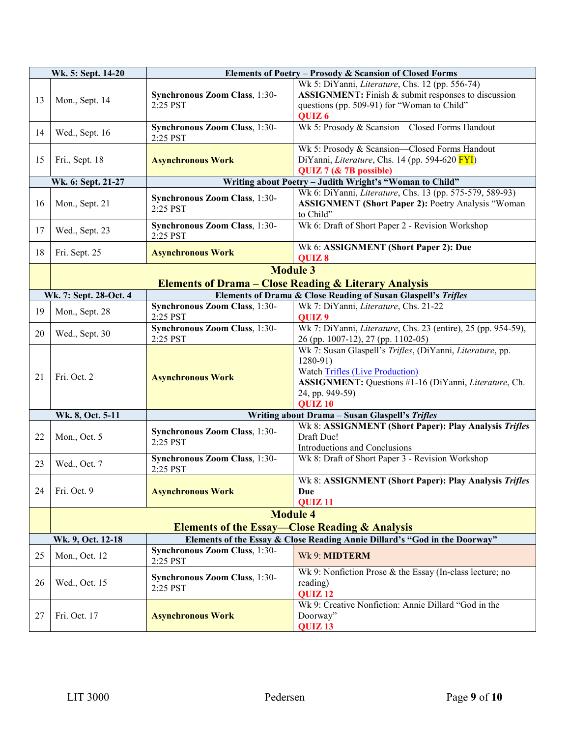|    | Wk. 5: Sept. 14-20                                                                              | Elements of Poetry - Prosody & Scansion of Closed Forms                                    |                                                                                                                                                                                                                     |
|----|-------------------------------------------------------------------------------------------------|--------------------------------------------------------------------------------------------|---------------------------------------------------------------------------------------------------------------------------------------------------------------------------------------------------------------------|
| 13 | Mon., Sept. 14                                                                                  | Synchronous Zoom Class, 1:30-<br>2:25 PST                                                  | Wk 5: DiYanni, Literature, Chs. 12 (pp. 556-74)<br>ASSIGNMENT: Finish & submit responses to discussion<br>questions (pp. 509-91) for "Woman to Child"<br>QUIZ <sub>6</sub>                                          |
| 14 | Wed., Sept. 16                                                                                  | Wk 5: Prosody & Scansion-Closed Forms Handout<br>Synchronous Zoom Class, 1:30-<br>2:25 PST |                                                                                                                                                                                                                     |
| 15 | Fri., Sept. 18                                                                                  | <b>Asynchronous Work</b>                                                                   | Wk 5: Prosody & Scansion-Closed Forms Handout<br>DiYanni, Literature, Chs. 14 (pp. 594-620 FYI)<br>QUIZ 7 (& 7B possible)                                                                                           |
|    | Wk. 6: Sept. 21-27                                                                              |                                                                                            | Writing about Poetry - Judith Wright's "Woman to Child"                                                                                                                                                             |
| 16 | Mon., Sept. 21                                                                                  | Synchronous Zoom Class, 1:30-<br>2:25 PST                                                  | Wk 6: DiYanni, Literature, Chs. 13 (pp. 575-579, 589-93)<br><b>ASSIGNMENT (Short Paper 2): Poetry Analysis "Woman</b><br>to Child"                                                                                  |
| 17 | Wed., Sept. 23                                                                                  | Synchronous Zoom Class, 1:30-<br>2:25 PST                                                  | Wk 6: Draft of Short Paper 2 - Revision Workshop                                                                                                                                                                    |
| 18 | Fri. Sept. 25                                                                                   | <b>Asynchronous Work</b>                                                                   | Wk 6: ASSIGNMENT (Short Paper 2): Due<br>QUIZ 8                                                                                                                                                                     |
|    |                                                                                                 |                                                                                            | <b>Module 3</b>                                                                                                                                                                                                     |
|    | <b>Elements of Drama - Close Reading &amp; Literary Analysis</b>                                |                                                                                            |                                                                                                                                                                                                                     |
|    | Elements of Drama & Close Reading of Susan Glaspell's Trifles<br>Wk. 7: Sept. 28-Oct. 4         |                                                                                            |                                                                                                                                                                                                                     |
| 19 | Mon., Sept. 28                                                                                  | Synchronous Zoom Class, 1:30-<br>2:25 PST                                                  | Wk 7: DiYanni, Literature, Chs. 21-22<br>QUIZ <sub>9</sub>                                                                                                                                                          |
| 20 | Wed., Sept. 30                                                                                  | Synchronous Zoom Class, 1:30-<br>2:25 PST                                                  | Wk 7: DiYanni, <i>Literature</i> , Chs. 23 (entire), 25 (pp. 954-59),<br>26 (pp. 1007-12), 27 (pp. 1102-05)                                                                                                         |
| 21 | Fri. Oct. 2                                                                                     | <b>Asynchronous Work</b>                                                                   | Wk 7: Susan Glaspell's Trifles, (DiYanni, Literature, pp.<br>$1280-91)$<br><b>Watch Trifles (Live Production)</b><br>ASSIGNMENT: Questions #1-16 (DiYanni, Literature, Ch.<br>24, pp. 949-59)<br>QUIZ <sub>10</sub> |
|    | Wk. 8, Oct. 5-11                                                                                |                                                                                            | Writing about Drama - Susan Glaspell's Trifles                                                                                                                                                                      |
| 22 | Mon., Oct. 5                                                                                    | Synchronous Zoom Class, 1:30-<br>2:25 PST                                                  | Wk 8: ASSIGNMENT (Short Paper): Play Analysis Trifles<br>Draft Due!<br>Introductions and Conclusions                                                                                                                |
| 23 | Wed., Oct. 7                                                                                    | Synchronous Zoom Class, 1:30-<br>2:25 PST                                                  | Wk 8: Draft of Short Paper 3 - Revision Workshop                                                                                                                                                                    |
| 24 | Fri. Oct. 9                                                                                     | <b>Asynchronous Work</b>                                                                   | Wk 8: ASSIGNMENT (Short Paper): Play Analysis Trifles<br>Due<br>QUIZ <sub>11</sub>                                                                                                                                  |
|    |                                                                                                 |                                                                                            | <b>Module 4</b>                                                                                                                                                                                                     |
|    | <b>Elements of the Essay—Close Reading &amp; Analysis</b>                                       |                                                                                            |                                                                                                                                                                                                                     |
|    | Elements of the Essay & Close Reading Annie Dillard's "God in the Doorway"<br>Wk. 9, Oct. 12-18 |                                                                                            |                                                                                                                                                                                                                     |
| 25 | Mon., Oct. 12                                                                                   | Synchronous Zoom Class, 1:30-<br>2:25 PST                                                  | Wk 9: MIDTERM                                                                                                                                                                                                       |
| 26 | Wed., Oct. 15                                                                                   | Synchronous Zoom Class, 1:30-<br>2:25 PST                                                  | Wk 9: Nonfiction Prose & the Essay (In-class lecture; no<br>reading)<br>QUIZ <sub>12</sub>                                                                                                                          |
| 27 | Fri. Oct. 17                                                                                    | <b>Asynchronous Work</b>                                                                   | Wk 9: Creative Nonfiction: Annie Dillard "God in the<br>Doorway"<br>QUIZ <sub>13</sub>                                                                                                                              |